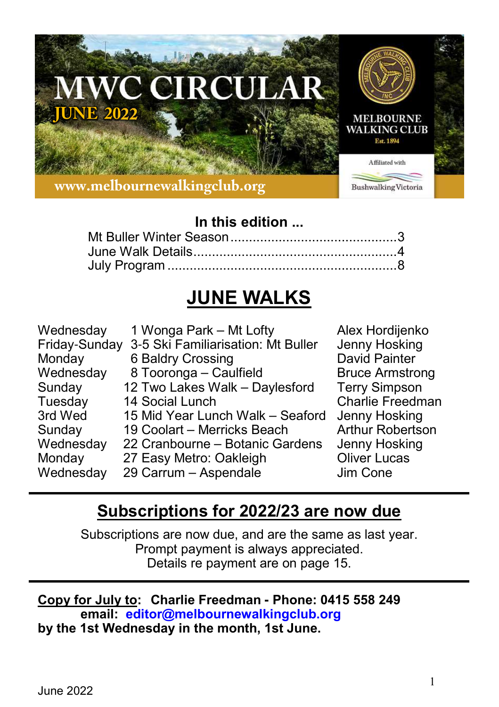

## **In this edition ...**

# **JUNE WALKS**

| Wednesday<br>Friday-Sunday | 1 Wonga Park - Mt Lofty<br>3-5 Ski Familiarisation: Mt Buller | Alex Hordijenko<br>Jenny Hosking |
|----------------------------|---------------------------------------------------------------|----------------------------------|
| Monday                     | 6 Baldry Crossing                                             | David Painter                    |
| Wednesday                  | 8 Tooronga - Caulfield                                        | <b>Bruce Armstrong</b>           |
| Sunday                     | 12 Two Lakes Walk - Daylesford                                | <b>Terry Simpson</b>             |
| Tuesday                    | 14 Social Lunch                                               | <b>Charlie Freedman</b>          |
| 3rd Wed                    | 15 Mid Year Lunch Walk - Seaford                              | Jenny Hosking                    |
| Sunday                     | 19 Coolart - Merricks Beach                                   | <b>Arthur Robertson</b>          |
| Wednesday                  | 22 Cranbourne - Botanic Gardens                               | Jenny Hosking                    |
| Monday                     | 27 Easy Metro: Oakleigh                                       | <b>Oliver Lucas</b>              |
| Wednesday                  | 29 Carrum - Aspendale                                         | Jim Cone                         |

## **Subscriptions for 2022/23 are now due**

Subscriptions are now due, and are the same as last year. Prompt payment is always appreciated. Details re payment are on page 15.

#### **Copy for July to: Charlie Freedman - Phone: 0415 558 249 email: editor@melbournewalkingclub.org by the 1st Wednesday in the month, 1st June.**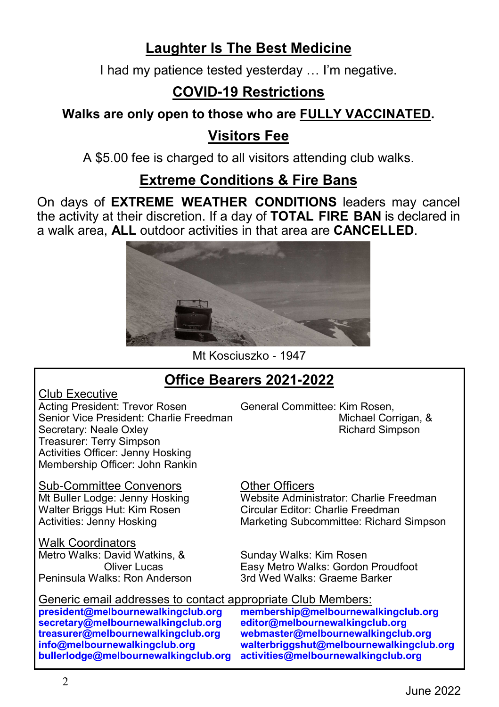## **Laughter Is The Best Medicine**

I had my patience tested yesterday … I'm negative.

## **COVID-19 Restrictions**

**Walks are only open to those who are FULLY VACCINATED.**

## **Visitors Fee**

A \$5.00 fee is charged to all visitors attending club walks.

## **Extreme Conditions & Fire Bans**

On days of **EXTREME WEATHER CONDITIONS** leaders may cancel the activity at their discretion. If a day of **TOTAL FIRE BAN** is declared in a walk area, **ALL** outdoor activities in that area are **CANCELLED**.



Mt Kosciuszko - 1947

## **Office Bearers 2021-2022**

Club Executive

Acting President: Trevor Rosen General Committee: Kim Rosen,<br>Senior Vice President: Charlie Freedman Senior Vice President: Charlie Freedman Michael Corrigan, Michael Corrigan, Secretary: Neale Oxlev Secretary: Neale Oxley Treasurer: Terry Simpson Activities Officer: Jenny Hosking Membership Officer: John Rankin

Sub-Committee Convenors<br>
Mt Buller Lodge: Jenny Hosking<br>
Website Admini Walter Briggs Hut: Kim Rosen<br>Activities: Jenny Hosking

<u>Walk Coordinators</u><br>Metro Walks: David Watkins. & Peninsula Walks: Ron Anderson

Website Administrator: Charlie Freedman<br>Circular Editor: Charlie Freedman Marketing Subcommittee: Richard Simpson

Metro Walks: David Watkins, & Sunday Walks: Kim Rosen Easy Metro Walks: Gordon Proudfoot<br>3rd Wed Walks: Graeme Barker

Generic email addresses to contact appropriate Club Members:<br>president@melbournewalkingclub.org membership@melbournewa

**secretary@melbournewalkingclub.org**<br>treasurer@melbournewalkingclub.org **bullerlodge@melbournewalkingclub.org activities@melbournewalkingclub.org**

**president@melbournewalkingclub.org membership@melbournewalkingclub.org treasurer@melbournewalkingclub.org webmaster@melbournewalkingclub.org info@melbournewalkingclub.org walterbriggshut@melbournewalkingclub.org**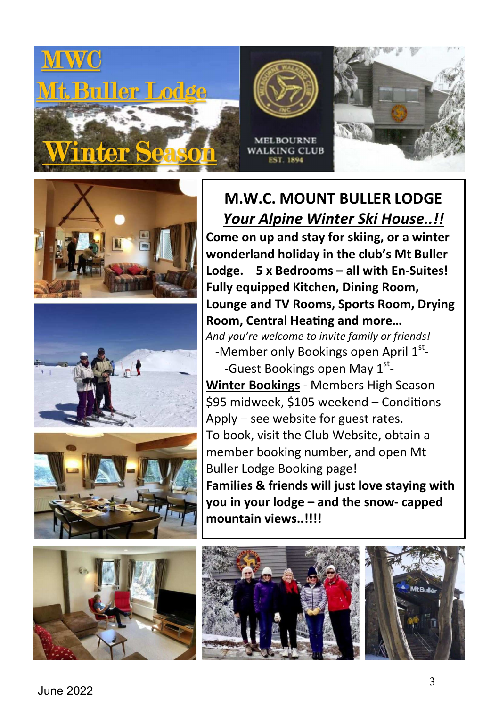











**M.W.C. MOUNT BULLER LODGE**  *Your Alpine Winter Ski House..!!*  **Come on up and stay for skiing, or a winter wonderland holiday in the club's Mt Buller Lodge. 5 x Bedrooms – all with En-Suites! Fully equipped Kitchen, Dining Room, Lounge and TV Rooms, Sports Room, Drying Room, Central Heating and more...** 

*And you're welcome to invite family or friends!*  -Member only Bookings open April 1st-

-Guest Bookings open May 1<sup>st</sup>-**Winter Bookings** - Members High Season \$95 midweek, \$105 weekend - Conditions Apply – see website for guest rates. To book, visit the Club Website, obtain a member booking number, and open Mt Buller Lodge Booking page! **Families & friends will just love staying with you in your lodge – and the snow- capped mountain views..!!!!** 





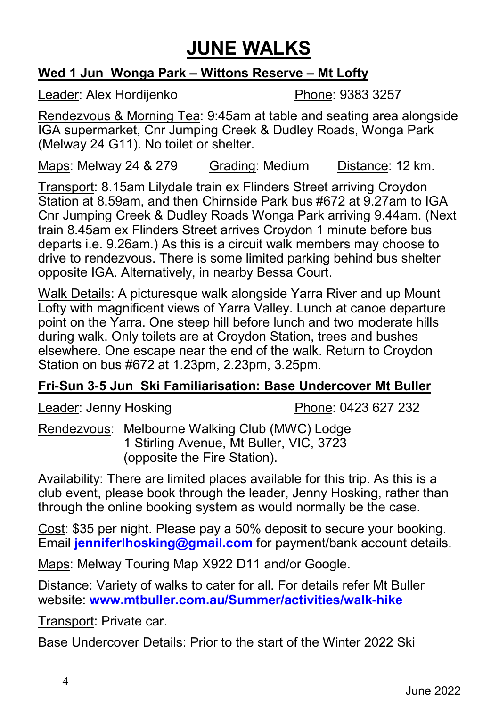# **JUNE WALKS**

#### **Wed 1 Jun Wonga Park – Wittons Reserve – Mt Lofty**

Leader: Alex Hordijenko Phone: 9383 3257

Rendezvous & Morning Tea: 9:45am at table and seating area alongside IGA supermarket, Cnr Jumping Creek & Dudley Roads, Wonga Park (Melway 24 G11). No toilet or shelter.

Maps: Melway 24 & 279 Grading: Medium Distance: 12 km.

Transport: 8.15am Lilydale train ex Flinders Street arriving Croydon Station at 8.59am, and then Chirnside Park bus #672 at 9.27am to IGA Cnr Jumping Creek & Dudley Roads Wonga Park arriving 9.44am. (Next train 8.45am ex Flinders Street arrives Croydon 1 minute before bus departs i.e. 9.26am.) As this is a circuit walk members may choose to drive to rendezvous. There is some limited parking behind bus shelter opposite IGA. Alternatively, in nearby Bessa Court.

Walk Details: A picturesque walk alongside Yarra River and up Mount Lofty with magnificent views of Yarra Valley. Lunch at canoe departure point on the Yarra. One steep hill before lunch and two moderate hills during walk. Only toilets are at Croydon Station, trees and bushes elsewhere. One escape near the end of the walk. Return to Croydon Station on bus #672 at 1.23pm, 2.23pm, 3.25pm.

#### **Fri-Sun 3-5 Jun Ski Familiarisation: Base Undercover Mt Buller**

Leader: Jenny Hosking Phone: 0423 627 232

Rendezvous: Melbourne Walking Club (MWC) Lodge 1 Stirling Avenue, Mt Buller, VIC, 3723 (opposite the Fire Station).

Availability: There are limited places available for this trip. As this is a club event, please book through the leader, Jenny Hosking, rather than through the online booking system as would normally be the case.

Cost: \$35 per night. Please pay a 50% deposit to secure your booking. Email **jenniferlhosking@gmail.com** for payment/bank account details.

Maps: Melway Touring Map X922 D11 and/or Google.

Distance: Variety of walks to cater for all. For details refer Mt Buller website: **www.mtbuller.com.au/Summer/activities/walk-hike**

Transport: Private car.

Base Undercover Details: Prior to the start of the Winter 2022 Ski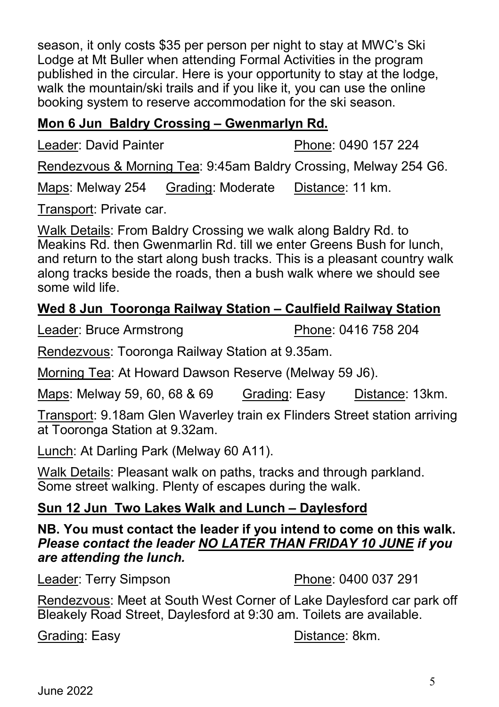season, it only costs \$35 per person per night to stay at MWC's Ski Lodge at Mt Buller when attending Formal Activities in the program published in the circular. Here is your opportunity to stay at the lodge, walk the mountain/ski trails and if you like it, you can use the online booking system to reserve accommodation for the ski season.

#### **Mon 6 Jun Baldry Crossing – Gwenmarlyn Rd.**

Leader: David Painter **Phone: 0490 157 224** 

Rendezvous & Morning Tea: 9:45am Baldry Crossing, Melway 254 G6.

Maps: Melway 254 Grading: Moderate Distance: 11 km.

Transport: Private car.

Walk Details: From Baldry Crossing we walk along Baldry Rd. to Meakins Rd. then Gwenmarlin Rd. till we enter Greens Bush for lunch, and return to the start along bush tracks. This is a pleasant country walk along tracks beside the roads, then a bush walk where we should see some wild life.

## **Wed 8 Jun Tooronga Railway Station – Caulfield Railway Station**

Leader: Bruce Armstrong Phone: 0416 758 204

Rendezvous: Tooronga Railway Station at 9.35am.

Morning Tea: At Howard Dawson Reserve (Melway 59 J6).

| Maps: Melway 59, 60, 68 & 69 | Grading: Easy | Distance: 13km. |
|------------------------------|---------------|-----------------|
|------------------------------|---------------|-----------------|

Transport: 9.18am Glen Waverley train ex Flinders Street station arriving at Tooronga Station at 9.32am.

Lunch: At Darling Park (Melway 60 A11).

Walk Details: Pleasant walk on paths, tracks and through parkland. Some street walking. Plenty of escapes during the walk.

#### **Sun 12 Jun Two Lakes Walk and Lunch – Daylesford**

**NB. You must contact the leader if you intend to come on this walk.**  *Please contact the leader NO LATER THAN FRIDAY 10 JUNE if you are attending the lunch.*

Leader: Terry Simpson Phone: 0400 037 291

Rendezvous: Meet at South West Corner of Lake Daylesford car park off Bleakely Road Street, Daylesford at 9:30 am. Toilets are available.

Grading: Easy **Distance:** 8km.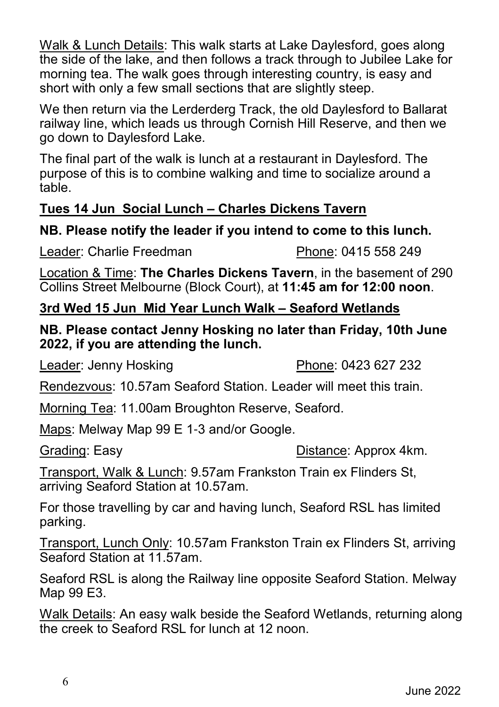Walk & Lunch Details: This walk starts at Lake Daylesford, goes along the side of the lake, and then follows a track through to Jubilee Lake for morning tea. The walk goes through interesting country, is easy and short with only a few small sections that are slightly steep.

We then return via the Lerderderg Track, the old Daylesford to Ballarat railway line, which leads us through Cornish Hill Reserve, and then we go down to Daylesford Lake.

The final part of the walk is lunch at a restaurant in Daylesford. The purpose of this is to combine walking and time to socialize around a table.

#### **Tues 14 Jun Social Lunch – Charles Dickens Tavern**

#### **NB. Please notify the leader if you intend to come to this lunch.**

Leader: Charlie Freedman Phone: 0415 558 249

Location & Time: **The Charles Dickens Tavern**, in the basement of 290 Collins Street Melbourne (Block Court), at **11:45 am for 12:00 noon**.

#### **3rd Wed 15 Jun Mid Year Lunch Walk – Seaford Wetlands**

**NB. Please contact Jenny Hosking no later than Friday, 10th June 2022, if you are attending the lunch.**

Leader: Jenny Hosking **Phone: 0423 627 232** 

Rendezvous: 10.57am Seaford Station. Leader will meet this train.

Morning Tea: 11.00am Broughton Reserve, Seaford.

Maps: Melway Map 99 E 1-3 and/or Google.

Grading: Easy **Distance:** Approx 4km.

Transport, Walk & Lunch: 9.57am Frankston Train ex Flinders St, arriving Seaford Station at 10.57am.

For those travelling by car and having lunch, Seaford RSL has limited parking.

Transport, Lunch Only: 10.57am Frankston Train ex Flinders St, arriving Seaford Station at 11.57am.

Seaford RSL is along the Railway line opposite Seaford Station. Melway Map 99 E3.

Walk Details: An easy walk beside the Seaford Wetlands, returning along the creek to Seaford RSL for lunch at 12 noon.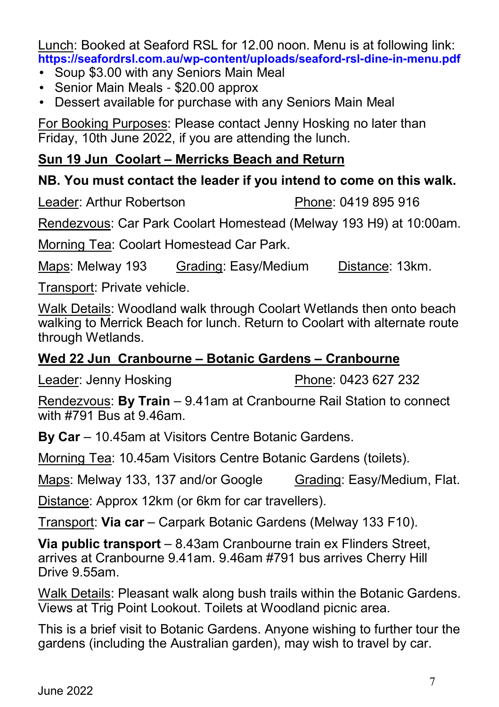Lunch: Booked at Seaford RSL for 12.00 noon. Menu is at following link: **https://seafordrsl.com.au/wp-content/uploads/seaford-rsl-dine-in-menu.pdf**

- Soup \$3.00 with any Seniors Main Meal
- Senior Main Meals \$20.00 approx
- Dessert available for purchase with any Seniors Main Meal

For Booking Purposes: Please contact Jenny Hosking no later than Friday, 10th June 2022, if you are attending the lunch.

#### **Sun 19 Jun Coolart – Merricks Beach and Return**

#### **NB. You must contact the leader if you intend to come on this walk.**

Leader: Arthur Robertson **Phone: 0419 895 916** 

Rendezvous: Car Park Coolart Homestead (Melway 193 H9) at 10:00am.

Morning Tea: Coolart Homestead Car Park.

Maps: Melway 193 Grading: Easy/Medium Distance: 13km.

Transport: Private vehicle.

Walk Details: Woodland walk through Coolart Wetlands then onto beach walking to Merrick Beach for lunch. Return to Coolart with alternate route through Wetlands.

#### **Wed 22 Jun Cranbourne – Botanic Gardens – Cranbourne**

Leader: Jenny Hosking Phone: 0423 627 232

Rendezvous: **By Train** – 9.41am at Cranbourne Rail Station to connect with #791 Bus at 9.46am.

**By Car** – 10.45am at Visitors Centre Botanic Gardens.

Morning Tea: 10.45am Visitors Centre Botanic Gardens (toilets).

Maps: Melway 133, 137 and/or Google Grading: Easy/Medium, Flat.

Distance: Approx 12km (or 6km for car travellers).

Transport: **Via car** – Carpark Botanic Gardens (Melway 133 F10).

**Via public transport** – 8.43am Cranbourne train ex Flinders Street, arrives at Cranbourne 9.41am. 9.46am #791 bus arrives Cherry Hill Drive 9.55am.

Walk Details: Pleasant walk along bush trails within the Botanic Gardens. Views at Trig Point Lookout. Toilets at Woodland picnic area.

This is a brief visit to Botanic Gardens. Anyone wishing to further tour the gardens (including the Australian garden), may wish to travel by car.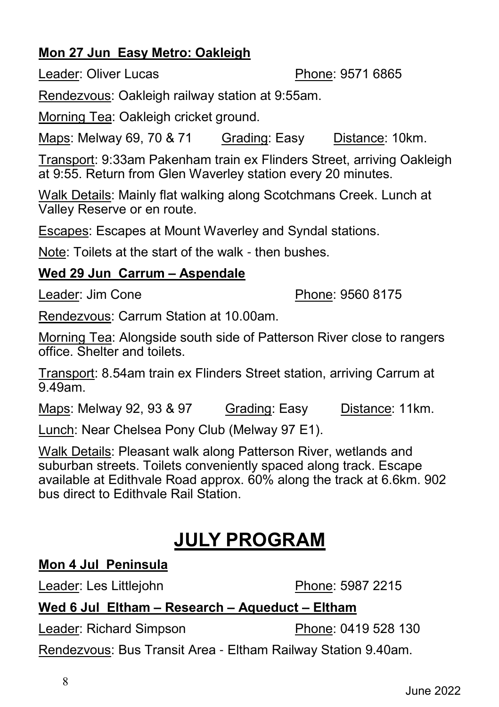## **Mon 27 Jun Easy Metro: Oakleigh**

Leader: Oliver Lucas **Phone: 9571 6865** 

Rendezvous: Oakleigh railway station at 9:55am.

Morning Tea: Oakleigh cricket ground.

Maps: Melway 69, 70 & 71 Grading: Easy Distance: 10km.

Transport: 9:33am Pakenham train ex Flinders Street, arriving Oakleigh at 9:55. Return from Glen Waverley station every 20 minutes.

Walk Details: Mainly flat walking along Scotchmans Creek. Lunch at Valley Reserve or en route.

Escapes: Escapes at Mount Waverley and Syndal stations.

Note: Toilets at the start of the walk - then bushes.

#### **Wed 29 Jun Carrum – Aspendale**

Leader: Jim Cone **Phone: 9560 8175** 

Rendezvous: Carrum Station at 10.00am.

Morning Tea: Alongside south side of Patterson River close to rangers office. Shelter and toilets.

Transport: 8.54am train ex Flinders Street station, arriving Carrum at 9.49am.

Maps: Melway 92, 93 & 97 Grading: Easy Distance: 11km.

Lunch: Near Chelsea Pony Club (Melway 97 E1).

Walk Details: Pleasant walk along Patterson River, wetlands and suburban streets. Toilets conveniently spaced along track. Escape available at Edithvale Road approx. 60% along the track at 6.6km. 902 bus direct to Edithvale Rail Station.

# **JULY PROGRAM**

#### **Mon 4 Jul Peninsula**

Leader: Les Littlejohn Phone: 5987 2215

### **Wed 6 Jul Eltham – Research – Aqueduct – Eltham**

Leader: Richard Simpson Phone: 0419 528 130

Rendezvous: Bus Transit Area - Eltham Railway Station 9.40am.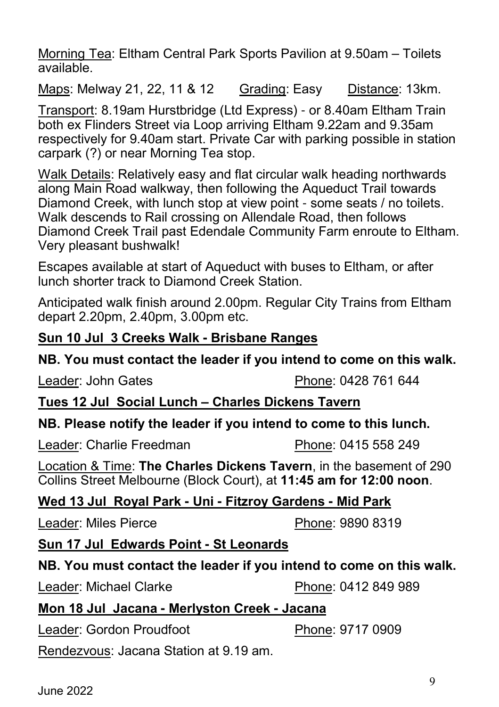Morning Tea: Eltham Central Park Sports Pavilion at 9.50am – Toilets available.

Maps: Melway 21, 22, 11 & 12 Grading: Easy Distance: 13km.

Transport: 8.19am Hurstbridge (Ltd Express) - or 8.40am Eltham Train both ex Flinders Street via Loop arriving Eltham 9.22am and 9.35am respectively for 9.40am start. Private Car with parking possible in station carpark (?) or near Morning Tea stop.

Walk Details: Relatively easy and flat circular walk heading northwards along Main Road walkway, then following the Aqueduct Trail towards Diamond Creek, with lunch stop at view point - some seats / no toilets. Walk descends to Rail crossing on Allendale Road, then follows Diamond Creek Trail past Edendale Community Farm enroute to Eltham. Very pleasant bushwalk!

Escapes available at start of Aqueduct with buses to Eltham, or after lunch shorter track to Diamond Creek Station.

Anticipated walk finish around 2.00pm. Regular City Trains from Eltham depart 2.20pm, 2.40pm, 3.00pm etc.

#### **Sun 10 Jul 3 Creeks Walk - Brisbane Ranges**

#### **NB. You must contact the leader if you intend to come on this walk.**

Leader: John Gates Phone: 0428 761 644

#### **Tues 12 Jul Social Lunch – Charles Dickens Tavern**

#### **NB. Please notify the leader if you intend to come to this lunch.**

Leader: Charlie Freedman Phone: 0415 558 249

Location & Time: **The Charles Dickens Tavern**, in the basement of 290 Collins Street Melbourne (Block Court), at **11:45 am for 12:00 noon**.

#### **Wed 13 Jul Royal Park - Uni - Fitzroy Gardens - Mid Park**

Leader: Miles Pierce **Phone: 9890 8319** 

#### **Sun 17 Jul Edwards Point - St Leonards**

#### **NB. You must contact the leader if you intend to come on this walk.**

Leader: Michael Clarke **Phone: 0412 849 989** 

#### **Mon 18 Jul Jacana - Merlyston Creek - Jacana**

Leader: Gordon Proudfoot Phone: 9717 0909

Rendezvous: Jacana Station at 9.19 am.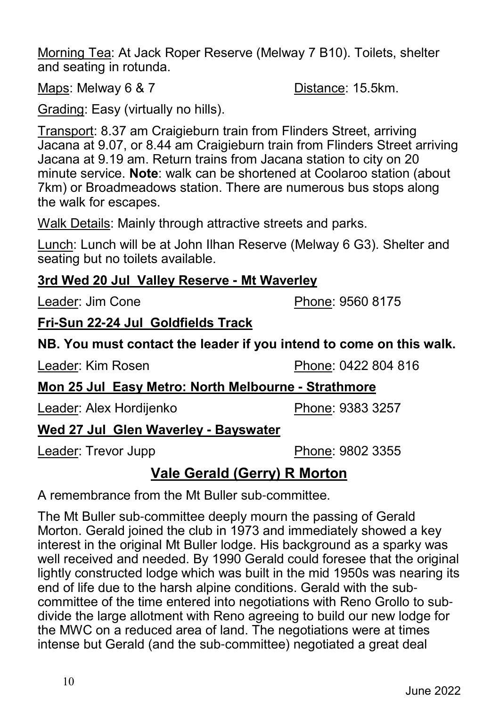Morning Tea: At Jack Roper Reserve (Melway 7 B10). Toilets, shelter and seating in rotunda.

Maps: Melway 6 & 7 Distance: 15.5km.

Grading: Easy (virtually no hills).

Transport: 8.37 am Craigieburn train from Flinders Street, arriving Jacana at 9.07, or 8.44 am Craigieburn train from Flinders Street arriving Jacana at 9.19 am. Return trains from Jacana station to city on 20 minute service. **Note**: walk can be shortened at Coolaroo station (about 7km) or Broadmeadows station. There are numerous bus stops along the walk for escapes.

Walk Details: Mainly through attractive streets and parks.

Lunch: Lunch will be at John Ilhan Reserve (Melway 6 G3). Shelter and seating but no toilets available.

#### **3rd Wed 20 Jul Valley Reserve - Mt Waverley**

Leader: Jim Cone **Phone: 9560 8175** 

**Fri-Sun 22-24 Jul Goldfields Track**

#### **NB. You must contact the leader if you intend to come on this walk.**

Leader: Kim Rosen **Phone: 0422 804 816** 

### **Mon 25 Jul Easy Metro: North Melbourne - Strathmore**

Leader: Alex Hordijenko Phone: 9383 3257

## **Wed 27 Jul Glen Waverley - Bayswater**

Leader: Trevor Jupp **Phone: 9802 3355** 

## **Vale Gerald (Gerry) R Morton**

A remembrance from the Mt Buller sub-committee.

The Mt Buller sub-committee deeply mourn the passing of Gerald Morton. Gerald joined the club in 1973 and immediately showed a key interest in the original Mt Buller lodge. His background as a sparky was well received and needed. By 1990 Gerald could foresee that the original lightly constructed lodge which was built in the mid 1950s was nearing its end of life due to the harsh alpine conditions. Gerald with the subcommittee of the time entered into negotiations with Reno Grollo to subdivide the large allotment with Reno agreeing to build our new lodge for the MWC on a reduced area of land. The negotiations were at times intense but Gerald (and the sub-committee) negotiated a great deal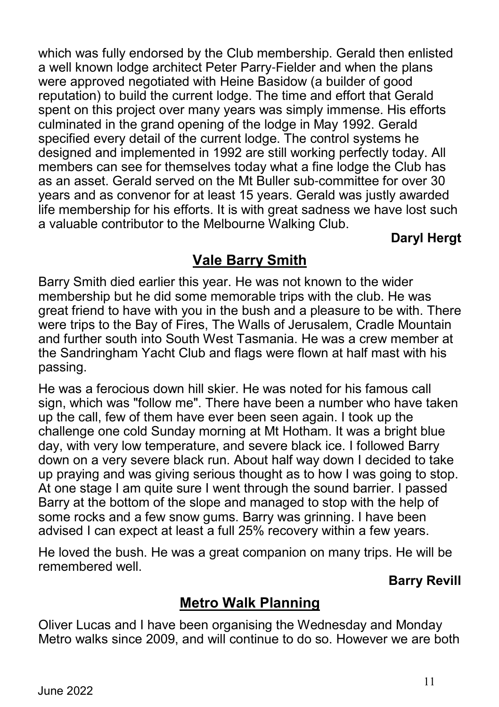which was fully endorsed by the Club membership. Gerald then enlisted a well known lodge architect Peter Parry-Fielder and when the plans were approved negotiated with Heine Basidow (a builder of good reputation) to build the current lodge. The time and effort that Gerald spent on this project over many years was simply immense. His efforts culminated in the grand opening of the lodge in May 1992. Gerald specified every detail of the current lodge. The control systems he designed and implemented in 1992 are still working perfectly today. All members can see for themselves today what a fine lodge the Club has as an asset. Gerald served on the Mt Buller sub-committee for over 30 years and as convenor for at least 15 years. Gerald was justly awarded life membership for his efforts. It is with great sadness we have lost such a valuable contributor to the Melbourne Walking Club.

### **Daryl Hergt**

## **Vale Barry Smith**

Barry Smith died earlier this year. He was not known to the wider membership but he did some memorable trips with the club. He was great friend to have with you in the bush and a pleasure to be with. There were trips to the Bay of Fires, The Walls of Jerusalem, Cradle Mountain and further south into South West Tasmania. He was a crew member at the Sandringham Yacht Club and flags were flown at half mast with his passing.

He was a ferocious down hill skier. He was noted for his famous call sign, which was "follow me". There have been a number who have taken up the call, few of them have ever been seen again. I took up the challenge one cold Sunday morning at Mt Hotham. It was a bright blue day, with very low temperature, and severe black ice. I followed Barry down on a very severe black run. About half way down I decided to take up praying and was giving serious thought as to how I was going to stop. At one stage I am quite sure I went through the sound barrier. I passed Barry at the bottom of the slope and managed to stop with the help of some rocks and a few snow gums. Barry was grinning. I have been advised I can expect at least a full 25% recovery within a few years.

He loved the bush. He was a great companion on many trips. He will be remembered well.

#### **Barry Revill**

## **Metro Walk Planning**

Oliver Lucas and I have been organising the Wednesday and Monday Metro walks since 2009, and will continue to do so. However we are both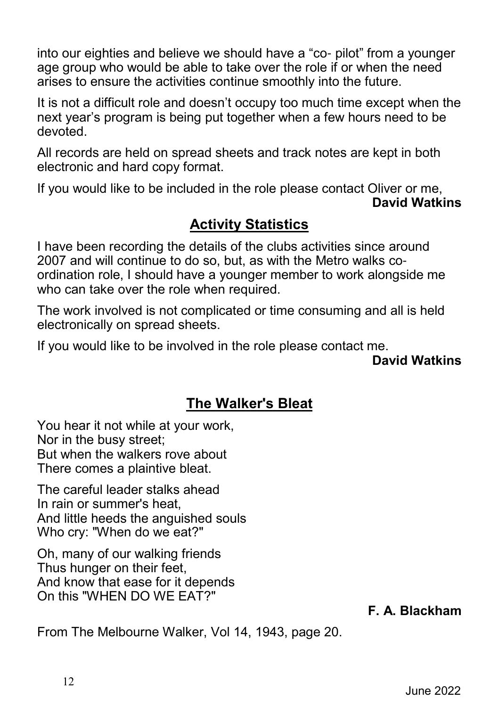into our eighties and believe we should have a "co- pilot" from a younger age group who would be able to take over the role if or when the need arises to ensure the activities continue smoothly into the future.

It is not a difficult role and doesn't occupy too much time except when the next year's program is being put together when a few hours need to be devoted.

All records are held on spread sheets and track notes are kept in both electronic and hard copy format.

If you would like to be included in the role please contact Oliver or me, **David Watkins**

## **Activity Statistics**

I have been recording the details of the clubs activities since around 2007 and will continue to do so, but, as with the Metro walks coordination role, I should have a younger member to work alongside me who can take over the role when required.

The work involved is not complicated or time consuming and all is held electronically on spread sheets.

If you would like to be involved in the role please contact me.

**David Watkins**

## **The Walker's Bleat**

You hear it not while at your work, Nor in the busy street; But when the walkers rove about There comes a plaintive bleat.

The careful leader stalks ahead In rain or summer's heat, And little heeds the anguished souls Who cry: "When do we eat?"

Oh, many of our walking friends Thus hunger on their feet, And know that ease for it depends On this "WHEN DO WE EAT?"

**F. A. Blackham**

From The Melbourne Walker, Vol 14, 1943, page 20.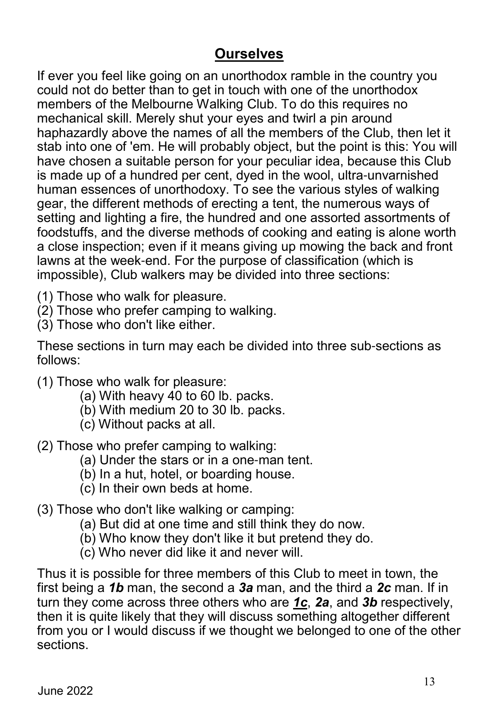## **Ourselves**

If ever you feel like going on an unorthodox ramble in the country you could not do better than to get in touch with one of the unorthodox members of the Melbourne Walking Club. To do this requires no mechanical skill. Merely shut your eyes and twirl a pin around haphazardly above the names of all the members of the Club, then let it stab into one of 'em. He will probably object, but the point is this: You will have chosen a suitable person for your peculiar idea, because this Club is made up of a hundred per cent, dyed in the wool, ultra-unvarnished human essences of unorthodoxy. To see the various styles of walking gear, the different methods of erecting a tent, the numerous ways of setting and lighting a fire, the hundred and one assorted assortments of foodstuffs, and the diverse methods of cooking and eating is alone worth a close inspection; even if it means giving up mowing the back and front lawns at the week-end. For the purpose of classification (which is impossible), Club walkers may be divided into three sections:

- (1) Those who walk for pleasure.
- (2) Those who prefer camping to walking.
- (3) Those who don't like either.

These sections in turn may each be divided into three sub-sections as follows:

- (1) Those who walk for pleasure:
	- (a) With heavy 40 to 60 lb. packs.
	- (b) With medium 20 to 30 lb. packs.
	- (c) Without packs at all.
- (2) Those who prefer camping to walking:
	- (a) Under the stars or in a one-man tent.
	- (b) In a hut, hotel, or boarding house.
	- (c) In their own beds at home.
- (3) Those who don't like walking or camping:
	- (a) But did at one time and still think they do now.
	- (b) Who know they don't like it but pretend they do.
	- (c) Who never did like it and never will.

Thus it is possible for three members of this Club to meet in town, the first being a *1b* man, the second a *3a* man, and the third a *2c* man. If in turn they come across three others who are *1c*, *2a*, and *3b* respectively, then it is quite likely that they will discuss something altogether different from you or I would discuss if we thought we belonged to one of the other sections.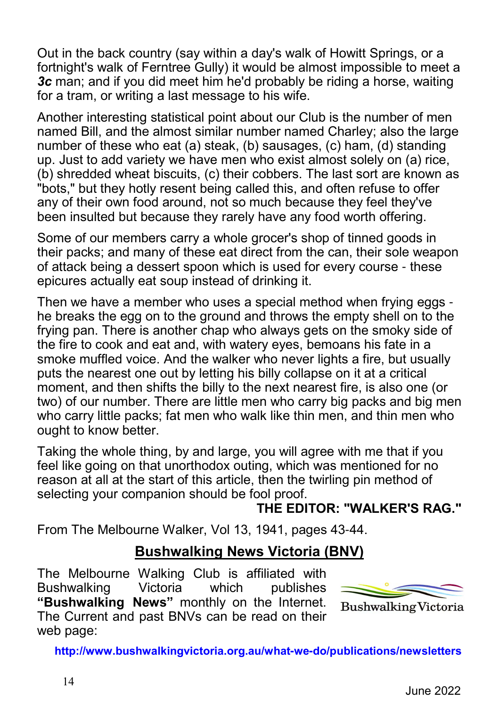Out in the back country (say within a day's walk of Howitt Springs, or a fortnight's walk of Ferntree Gully) it would be almost impossible to meet a *3c* man; and if you did meet him he'd probably be riding a horse, waiting for a tram, or writing a last message to his wife.

Another interesting statistical point about our Club is the number of men named Bill, and the almost similar number named Charley; also the large number of these who eat (a) steak, (b) sausages, (c) ham, (d) standing up. Just to add variety we have men who exist almost solely on (a) rice, (b) shredded wheat biscuits, (c) their cobbers. The last sort are known as "bots," but they hotly resent being called this, and often refuse to offer any of their own food around, not so much because they feel they've been insulted but because they rarely have any food worth offering.

Some of our members carry a whole grocer's shop of tinned goods in their packs; and many of these eat direct from the can, their sole weapon of attack being a dessert spoon which is used for every course - these epicures actually eat soup instead of drinking it.

Then we have a member who uses a special method when frying eggs he breaks the egg on to the ground and throws the empty shell on to the frying pan. There is another chap who always gets on the smoky side of the fire to cook and eat and, with watery eyes, bemoans his fate in a smoke muffled voice. And the walker who never lights a fire, but usually puts the nearest one out by letting his billy collapse on it at a critical moment, and then shifts the billy to the next nearest fire, is also one (or two) of our number. There are little men who carry big packs and big men who carry little packs; fat men who walk like thin men, and thin men who ought to know better.

Taking the whole thing, by and large, you will agree with me that if you feel like going on that unorthodox outing, which was mentioned for no reason at all at the start of this article, then the twirling pin method of selecting your companion should be fool proof.

**THE EDITOR: "WALKER'S RAG."**

From The Melbourne Walker, Vol 13, 1941, pages 43-44.

## **Bushwalking News Victoria (BNV)**

The Melbourne Walking Club is affiliated with Bushwalking Victoria which publishes **"Bushwalking News"** monthly on the Internet. The Current and past BNVs can be read on their web page:



**Bushwalking Victoria** 

**http://www.bushwalkingvictoria.org.au/what-we-do/publications/newsletters**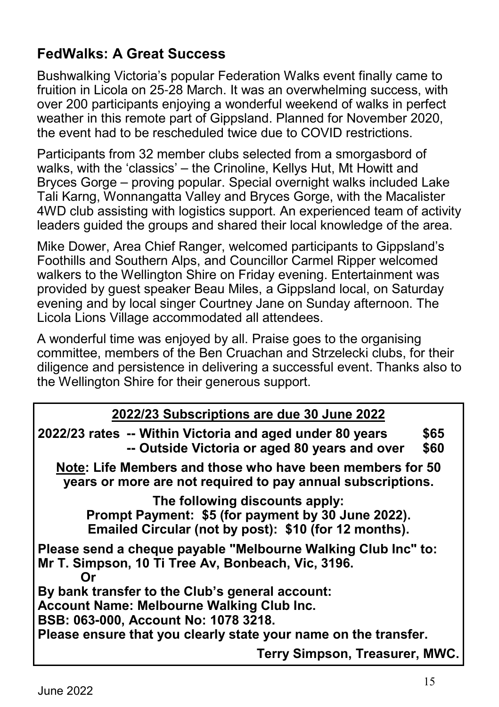## **FedWalks: A Great Success**

Bushwalking Victoria's popular Federation Walks event finally came to fruition in Licola on 25-28 March. It was an overwhelming success, with over 200 participants enjoying a wonderful weekend of walks in perfect weather in this remote part of Gippsland. Planned for November 2020, the event had to be rescheduled twice due to COVID restrictions.

Participants from 32 member clubs selected from a smorgasbord of walks, with the 'classics' – the Crinoline, Kellys Hut, Mt Howitt and Bryces Gorge – proving popular. Special overnight walks included Lake Tali Karng, Wonnangatta Valley and Bryces Gorge, with the Macalister 4WD club assisting with logistics support. An experienced team of activity leaders guided the groups and shared their local knowledge of the area.

Mike Dower, Area Chief Ranger, welcomed participants to Gippsland's Foothills and Southern Alps, and Councillor Carmel Ripper welcomed walkers to the Wellington Shire on Friday evening. Entertainment was provided by guest speaker Beau Miles, a Gippsland local, on Saturday evening and by local singer Courtney Jane on Sunday afternoon. The Licola Lions Village accommodated all attendees.

A wonderful time was enjoyed by all. Praise goes to the organising committee, members of the Ben Cruachan and Strzelecki clubs, for their diligence and persistence in delivering a successful event. Thanks also to the Wellington Shire for their generous support.

#### **2022/23 Subscriptions are due 30 June 2022**

| 2022/23 rates -- Within Victoria and aged under 80 years<br>-- Outside Victoria or aged 80 years and over                                     | \$65<br>\$60 |  |  |
|-----------------------------------------------------------------------------------------------------------------------------------------------|--------------|--|--|
| Note: Life Members and those who have been members for 50<br>years or more are not required to pay annual subscriptions.                      |              |  |  |
| The following discounts apply:<br>Prompt Payment: \$5 (for payment by 30 June 2022).<br>Emailed Circular (not by post): \$10 (for 12 months). |              |  |  |
| Please send a cheque payable "Melbourne Walking Club Inc" to:<br>Mr T. Simpson, 10 Ti Tree Av, Bonbeach, Vic, 3196.<br>Or                     |              |  |  |
| By bank transfer to the Club's general account:                                                                                               |              |  |  |
| <b>Account Name: Melbourne Walking Club Inc.</b>                                                                                              |              |  |  |
| BSB: 063-000, Account No: 1078 3218.                                                                                                          |              |  |  |
| Please ensure that you clearly state your name on the transfer.                                                                               |              |  |  |
| Terry Simpson, Treasurer, MWC.                                                                                                                |              |  |  |